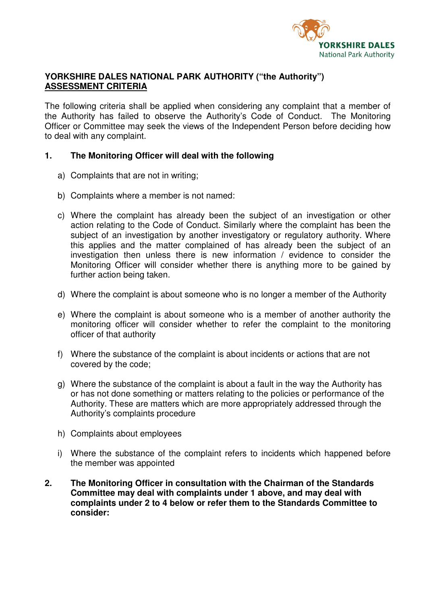

## **YORKSHIRE DALES NATIONAL PARK AUTHORITY ("the Authority") ASSESSMENT CRITERIA**

The following criteria shall be applied when considering any complaint that a member of the Authority has failed to observe the Authority's Code of Conduct. The Monitoring Officer or Committee may seek the views of the Independent Person before deciding how to deal with any complaint.

## **1. The Monitoring Officer will deal with the following**

- a) Complaints that are not in writing;
- b) Complaints where a member is not named:
- c) Where the complaint has already been the subject of an investigation or other action relating to the Code of Conduct. Similarly where the complaint has been the subject of an investigation by another investigatory or regulatory authority. Where this applies and the matter complained of has already been the subject of an investigation then unless there is new information / evidence to consider the Monitoring Officer will consider whether there is anything more to be gained by further action being taken.
- d) Where the complaint is about someone who is no longer a member of the Authority
- e) Where the complaint is about someone who is a member of another authority the monitoring officer will consider whether to refer the complaint to the monitoring officer of that authority
- f) Where the substance of the complaint is about incidents or actions that are not covered by the code;
- g) Where the substance of the complaint is about a fault in the way the Authority has or has not done something or matters relating to the policies or performance of the Authority. These are matters which are more appropriately addressed through the Authority's complaints procedure
- h) Complaints about employees
- i) Where the substance of the complaint refers to incidents which happened before the member was appointed
- **2. The Monitoring Officer in consultation with the Chairman of the Standards Committee may deal with complaints under 1 above, and may deal with complaints under 2 to 4 below or refer them to the Standards Committee to consider:**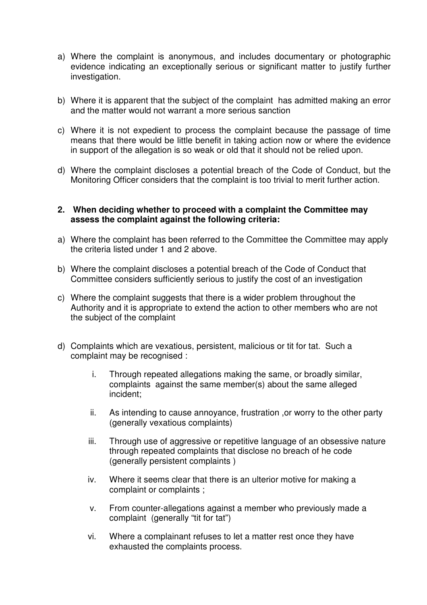- a) Where the complaint is anonymous, and includes documentary or photographic evidence indicating an exceptionally serious or significant matter to justify further investigation.
- b) Where it is apparent that the subject of the complaint has admitted making an error and the matter would not warrant a more serious sanction
- c) Where it is not expedient to process the complaint because the passage of time means that there would be little benefit in taking action now or where the evidence in support of the allegation is so weak or old that it should not be relied upon.
- d) Where the complaint discloses a potential breach of the Code of Conduct, but the Monitoring Officer considers that the complaint is too trivial to merit further action.

## **2. When deciding whether to proceed with a complaint the Committee may assess the complaint against the following criteria:**

- a) Where the complaint has been referred to the Committee the Committee may apply the criteria listed under 1 and 2 above.
- b) Where the complaint discloses a potential breach of the Code of Conduct that Committee considers sufficiently serious to justify the cost of an investigation
- c) Where the complaint suggests that there is a wider problem throughout the Authority and it is appropriate to extend the action to other members who are not the subject of the complaint
- d) Complaints which are vexatious, persistent, malicious or tit for tat. Such a complaint may be recognised :
	- i. Through repeated allegations making the same, or broadly similar, complaints against the same member(s) about the same alleged incident;
	- ii. As intending to cause annoyance, frustration ,or worry to the other party (generally vexatious complaints)
	- iii. Through use of aggressive or repetitive language of an obsessive nature through repeated complaints that disclose no breach of he code (generally persistent complaints )
	- iv. Where it seems clear that there is an ulterior motive for making a complaint or complaints ;
	- v. From counter-allegations against a member who previously made a complaint (generally "tit for tat")
	- vi. Where a complainant refuses to let a matter rest once they have exhausted the complaints process.